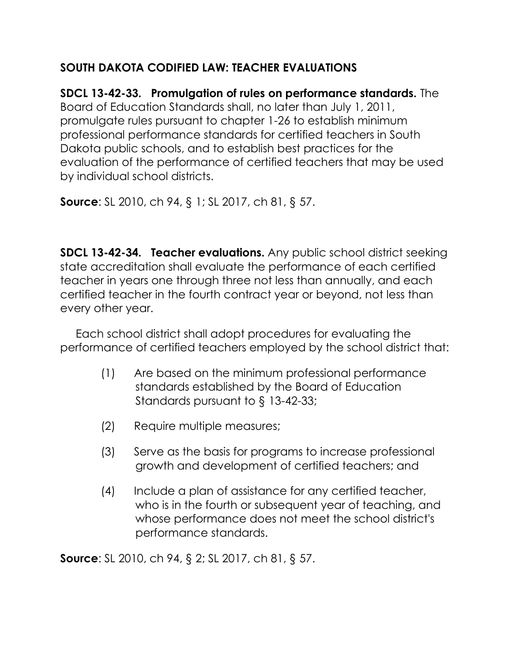## **SOUTH DAKOTA CODIFIED LAW: TEACHER EVALUATIONS**

**SDCL 13-42-33. Promulgation of rules on performance standards.** The Board of Education Standards shall, no later than July 1, 2011, promulgate rules pursuant to chapter 1-26 to establish minimum professional performance standards for certified teachers in South Dakota public schools, and to establish best practices for the evaluation of the performance of certified teachers that may be used by individual school districts.

**Source**: SL 2010, ch 94, § 1; SL 2017, ch 81, § 57.

**SDCL 13-42-34. Teacher evaluations.** Any public school district seeking state accreditation shall evaluate the performance of each certified teacher in years one through three not less than annually, and each certified teacher in the fourth contract year or beyond, not less than every other year.

 Each school district shall adopt procedures for evaluating the performance of certified teachers employed by the school district that:

- (1) Are based on the minimum professional performance standards established by the Board of Education Standards pursuant to § 13-42-33;
- (2) Require multiple measures;
- (3) Serve as the basis for programs to increase professional growth and development of certified teachers; and
- (4) Include a plan of assistance for any certified teacher, who is in the fourth or subsequent year of teaching, and whose performance does not meet the school district's performance standards.

**Source**: SL 2010, ch 94, § 2; SL 2017, ch 81, § 57.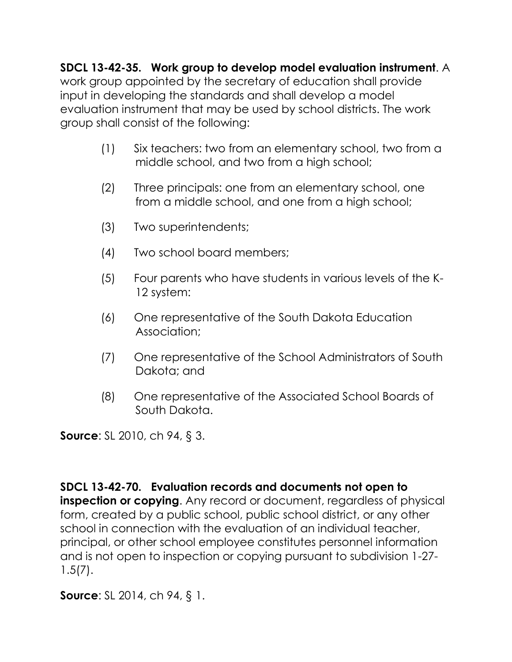**SDCL 13-42-35. Work group to develop model evaluation instrument**. A

work group appointed by the secretary of education shall provide input in developing the standards and shall develop a model evaluation instrument that may be used by school districts. The work group shall consist of the following:

- (1) Six teachers: two from an elementary school, two from a middle school, and two from a high school;
- (2) Three principals: one from an elementary school, one from a middle school, and one from a high school;
- (3) Two superintendents;
- (4) Two school board members;
- (5) Four parents who have students in various levels of the K-12 system:
- (6) One representative of the South Dakota Education Association;
- (7) One representative of the School Administrators of South Dakota; and
- (8) One representative of the Associated School Boards of South Dakota.

**Source**: SL 2010, ch 94, § 3.

## **SDCL 13-42-70. Evaluation records and documents not open to inspection or copying.** Any record or document, regardless of physical form, created by a public school, public school district, or any other school in connection with the evaluation of an individual teacher, principal, or other school employee constitutes personnel information and is not open to inspection or copying pursuant to subdivision 1-27- 1.5(7).

**Source**: SL 2014, ch 94, § 1.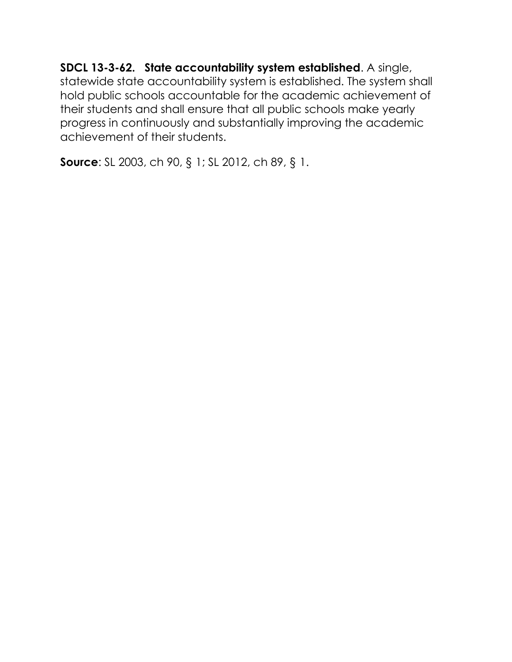**SDCL 13-3-62. State accountability system established**. A single, statewide state accountability system is established. The system shall hold public schools accountable for the academic achievement of their students and shall ensure that all public schools make yearly progress in continuously and substantially improving the academic achievement of their students.

**Source**: SL 2003, ch 90, § 1; SL 2012, ch 89, § 1.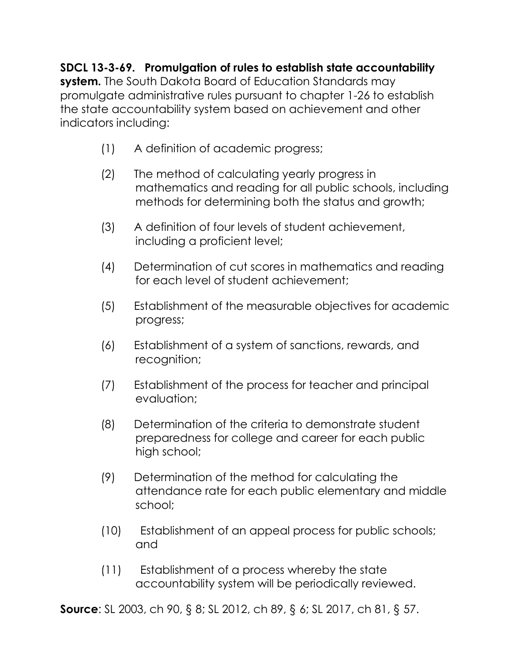**SDCL 13-3-69. Promulgation of rules to establish state accountability system.** The South Dakota Board of Education Standards may promulgate administrative rules pursuant to chapter 1-26 to establish the state accountability system based on achievement and other indicators including:

- (1) A definition of academic progress;
- (2) The method of calculating yearly progress in mathematics and reading for all public schools, including methods for determining both the status and growth;
- (3) A definition of four levels of student achievement, including a proficient level;
- (4) Determination of cut scores in mathematics and reading for each level of student achievement;
- (5) Establishment of the measurable objectives for academic progress;
- (6) Establishment of a system of sanctions, rewards, and recognition;
- (7) Establishment of the process for teacher and principal evaluation;
- (8) Determination of the criteria to demonstrate student preparedness for college and career for each public high school;
- (9) Determination of the method for calculating the attendance rate for each public elementary and middle school;
- (10) Establishment of an appeal process for public schools; and
- (11) Establishment of a process whereby the state accountability system will be periodically reviewed.

**Source**: SL 2003, ch 90, § 8; SL 2012, ch 89, § 6; SL 2017, ch 81, § 57.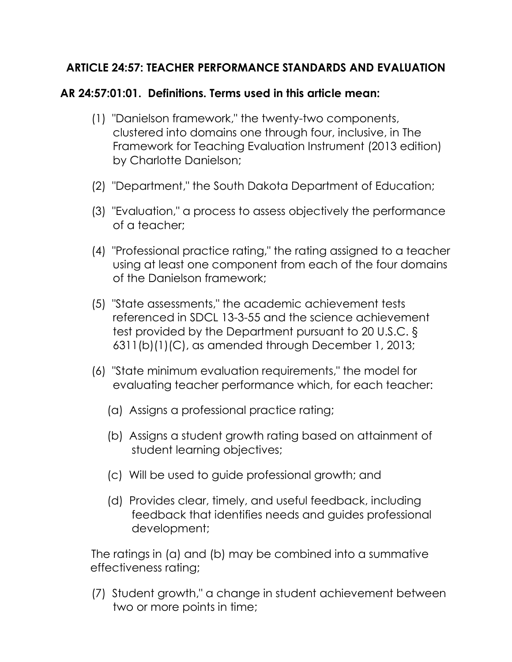## **ARTICLE 24:57: TEACHER PERFORMANCE STANDARDS AND EVALUATION**

## **AR 24:57:01:01. Definitions. Terms used in this article mean:**

- (1) "Danielson framework," the twenty-two components, clustered into domains one through four, inclusive, in The Framework for Teaching Evaluation Instrument (2013 edition) by Charlotte Danielson;
- (2) "Department," the South Dakota Department of Education;
- (3) "Evaluation," a process to assess objectively the performance of a teacher;
- (4) "Professional practice rating," the rating assigned to a teacher using at least one component from each of the four domains of the Danielson framework;
- (5) "State assessments," the academic achievement tests referenced in SDCL 13-3-55 and the science achievement test provided by the Department pursuant to 20 U.S.C. § 6311(b)(1)(C), as amended through December 1, 2013;
- (6) "State minimum evaluation requirements," the model for evaluating teacher performance which, for each teacher:
	- (a) Assigns a professional practice rating;
	- (b) Assigns a student growth rating based on attainment of student learning objectives;
	- (c) Will be used to guide professional growth; and
	- (d) Provides clear, timely, and useful feedback, including feedback that identifies needs and guides professional development;

 The ratings in (a) and (b) may be combined into a summative effectiveness rating;

 (7) Student growth," a change in student achievement between two or more points in time;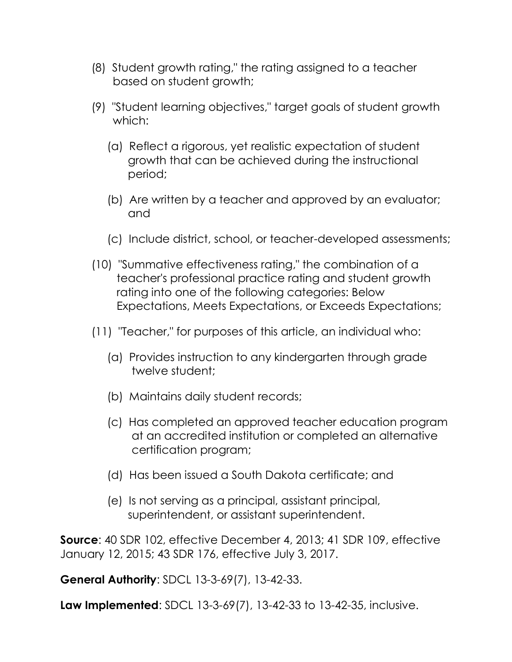- (8) Student growth rating," the rating assigned to a teacher based on student growth;
- (9) "Student learning objectives," target goals of student growth which:
	- (a) Reflect a rigorous, yet realistic expectation of student growth that can be achieved during the instructional period;
	- (b) Are written by a teacher and approved by an evaluator; and
	- (c) Include district, school, or teacher-developed assessments;
- (10) "Summative effectiveness rating," the combination of a teacher's professional practice rating and student growth rating into one of the following categories: Below Expectations, Meets Expectations, or Exceeds Expectations;
- (11) "Teacher," for purposes of this article, an individual who:
	- (a) Provides instruction to any kindergarten through grade twelve student;
	- (b) Maintains daily student records;
	- (c) Has completed an approved teacher education program at an accredited institution or completed an alternative certification program;
	- (d) Has been issued a South Dakota certificate; and
	- (e) Is not serving as a principal, assistant principal, superintendent, or assistant superintendent.

**Source**: 40 SDR 102, effective December 4, 2013; 41 SDR 109, effective January 12, 2015; 43 SDR 176, effective July 3, 2017.

**General Authority**: SDCL 13-3-69(7), 13-42-33.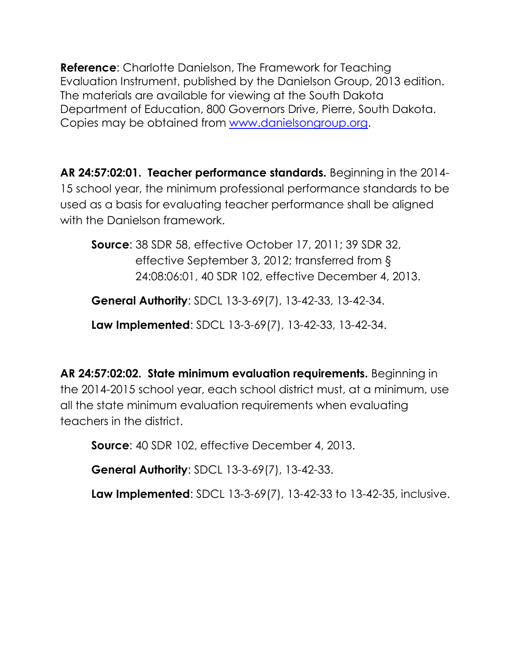**Reference**: Charlotte Danielson, The Framework for Teaching Evaluation Instrument, published by the Danielson Group, 2013 edition. The materials are available for viewing at the South Dakota Department of Education, 800 Governors Drive, Pierre, South Dakota. Copies may be obtained from [www.danielsongroup.org.](http://www.danielsongroup.org/)

**AR 24:57:02:01. Teacher performance standards.** Beginning in the 2014- 15 school year, the minimum professional performance standards to be used as a basis for evaluating teacher performance shall be aligned with the Danielson framework.

 **Source**: 38 SDR 58, effective October 17, 2011; 39 SDR 32, effective September 3, 2012; transferred from § 24:08:06:01, 40 SDR 102, effective December 4, 2013.

**General Authority**: SDCL 13-3-69(7), 13-42-33, 13-42-34.

**Law Implemented**: SDCL 13-3-69(7), 13-42-33, 13-42-34.

**AR 24:57:02:02. State minimum evaluation requirements.** Beginning in the 2014-2015 school year, each school district must, at a minimum, use all the state minimum evaluation requirements when evaluating teachers in the district.

**Source**: 40 SDR 102, effective December 4, 2013.

**General Authority**: SDCL 13-3-69(7), 13-42-33.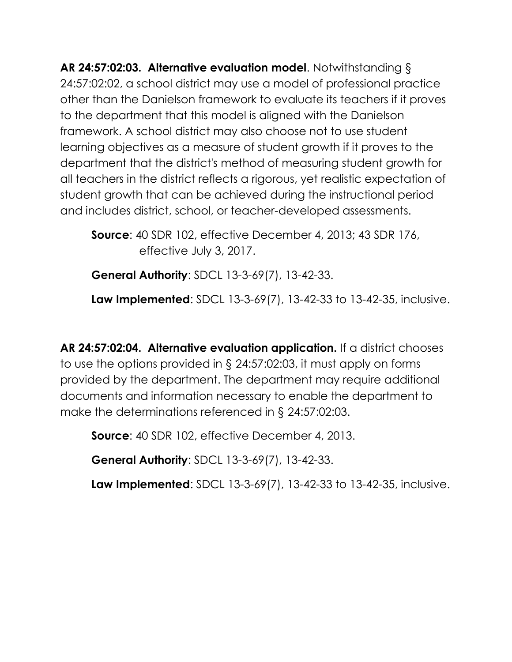**AR 24:57:02:03. Alternative evaluation model**. Notwithstanding § 24:57:02:02, a school district may use a model of professional practice other than the Danielson framework to evaluate its teachers if it proves to the department that this model is aligned with the Danielson framework. A school district may also choose not to use student learning objectives as a measure of student growth if it proves to the department that the district's method of measuring student growth for all teachers in the district reflects a rigorous, yet realistic expectation of student growth that can be achieved during the instructional period and includes district, school, or teacher-developed assessments.

 **Source**: 40 SDR 102, effective December 4, 2013; 43 SDR 176, effective July 3, 2017.

**General Authority**: SDCL 13-3-69(7), 13-42-33.

**Law Implemented**: SDCL 13-3-69(7), 13-42-33 to 13-42-35, inclusive.

**AR 24:57:02:04. Alternative evaluation application.** If a district chooses to use the options provided in § 24:57:02:03, it must apply on forms provided by the department. The department may require additional documents and information necessary to enable the department to make the determinations referenced in § 24:57:02:03.

**Source**: 40 SDR 102, effective December 4, 2013.

**General Authority**: SDCL 13-3-69(7), 13-42-33.